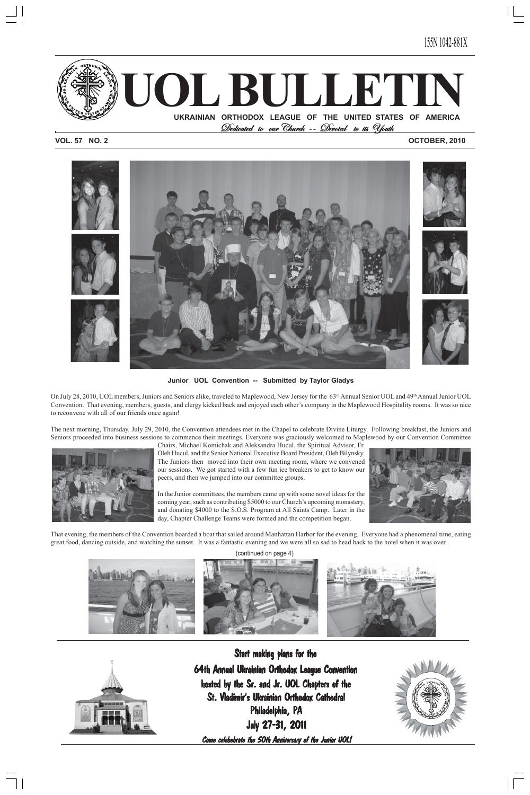

155N 1042-881X

**VOL. 57 NO. 2 OCTOBER, 2010**



**Junior UOL Convention -- Submitted by Taylor Gladys**

On July 28, 2010, UOL members, Juniors and Seniors alike, traveled to Maplewood, New Jersey for the 63rd Annual Senior UOL and 49th Annual Junior UOL Convention. That evening, members, guests, and clergy kicked back and enjoyed each other's company in the Maplewood Hospitality rooms. It was so nice to reconvene with all of our friends once again!

The next morning, Thursday, July 29, 2010, the Convention attendees met in the Chapel to celebrate Divine Liturgy. Following breakfast, the Juniors and Seniors proceeded into business sessions to commence their meetings. Everyone was graciously welcomed to Maplewood by our Convention Committee



Chairs, Michael Komichak and Aleksandra Hucul, the Spiritual Advisor, Fr. Oleh Hucul, and the Senior National Executive Board President, Oleh Bilynsky. The Juniors then moved into their own meeting room, where we convened our sessions. We got started with a few fun ice breakers to get to know our peers, and then we jumped into our committee groups.

In the Junior committees, the members came up with some novel ideas for the coming year, such as contributing \$5000 to our Church's upcoming monastery, and donating \$4000 to the S.O.S. Program at All Saints Camp. Later in the day, Chapter Challenge Teams were formed and the competition began.



That evening, the members of the Convention boarded a boat that sailed around Manhattan Harbor for the evening. Everyone had a phenomenal time, eating great food, dancing outside, and watching the sunset. It was a fantastic evening and we were all so sad to head back to the hotel when it was over.

#### (continued on page 4)





### Start making plans for the

64th Annual Ukrainian Orthodox League Convention hosted by the Sr. and Jr. UOL Chapters of the St. Vladimir's Ukrainian Orthodox Cathedral Philadelphia, PA July 27-31, 2011

Come celebebrate the 50th Anniversary of the Junior UOL!

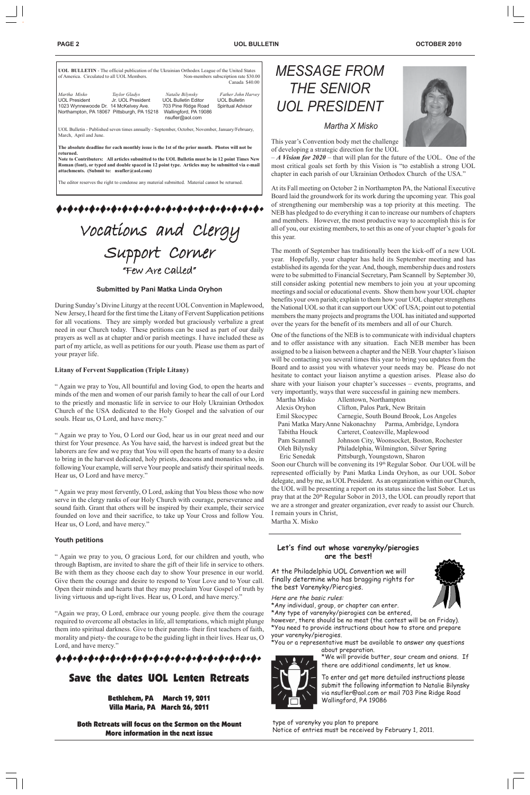| of America. Circulated to all UOL Members.                            |                                                                                  |                                                                                                                   | Non-members subscription rate \$30.00<br>Canada \$40.00        |
|-----------------------------------------------------------------------|----------------------------------------------------------------------------------|-------------------------------------------------------------------------------------------------------------------|----------------------------------------------------------------|
| Martha Misko<br>UOL President<br>1023 Wynnewoode Dr. 14 McKelvey Ave. | Taylor Gladys<br>Jr. UOL President<br>Northampton, PA 18067 Pittsburgh, PA 15218 | Natalie Bilynsky<br><b>UOL Bulletin Editor</b><br>703 Pine Ridge Road<br>Wallingford, PA 19086<br>nsufler@aol.com | Father John Harvey<br><b>UOL Bulletin</b><br>Spiritual Advisor |
| March, April and June.                                                |                                                                                  | UOL Bulletin - Published seven times annually - September, October, November, January/February,                   |                                                                |

**The absolute deadline for each monthly issue is the 1st of the prior month. Photos will not be returned.**

**Note to Contributers: All articles submitted to the UOL Bulletin must be in 12 point Times New Roman (font), or typed and double spaced in 12 point type. Articles may be submitted via e-mail attachments. (Submit to: nsufler@aol.com)**

The editor reserves the right to condense any material submitted. Material cannot be returned.

\*\*\*\*\*\*\*\*\*\*\*\*\*\*\*\*\*\*\*\*\*\*\*\*\*\*\*

# Vocations and Clergy Support Corner Corner Support Corner "Few Are Called"

#### **PAGE 2 UOL BULLETIN OCTOBER 2010**

 *Martha X Misko*

# *MESSAGE FROM THE SENIOR UOL PRESIDENT*



This year's Convention body met the challenge of developing a strategic direction for the UOL

– *A Vision for 2020* – that will plan for the future of the UOL. One of the most critical goals set forth by this Vision is "to establish a strong UOL chapter in each parish of our Ukrainian Orthodox Church of the USA."

At its Fall meeting on October 2 in Northampton PA, the National Executive Board laid the groundwork for its work during the upcoming year. This goal of strengthening our membership was a top priority at this meeting. The NEB has pledged to do everything it can to increase our numbers of chapters and members. However, the most productive way to accomplish this is for all of you, our existing members, to set this as one of your chapter's goals for this year.

Soon our Church will be convening its 19th Regular Sobor. Our UOL will be represented officially by Pani Matka Linda Oryhon, as our UOL Sobor delegate, and by me, as UOL President. As an organization within our Church, the UOL will be presenting a report on its status since the last Sobor. Let us pray that at the 20<sup>th</sup> Regular Sobor in 2013, the UOL can proudly report that we are a stronger and greater organization, ever ready to assist our Church. I remain yours in Christ,

The month of September has traditionally been the kick-off of a new UOL year. Hopefully, your chapter has held its September meeting and has established its agenda for the year. And, though, membership dues and rosters were to be submitted to Financial Secretary, Pam Scannell by September 30, still consider asking potential new members to join you at your upcoming meetings and social or educational events. Show them how your UOL chapter benefits your own parish; explain to them how your UOL chapter strengthens the National UOL so that it can support our UOC of USA; point out to potential members the many projects and programs the UOL has initiated and supported over the years for the benefit of its members and all of our Church.

One of the functions of the NEB is to communicate with individual chapters and to offer assistance with any situation. Each NEB member has been assigned to be a liaison between a chapter and the NEB. Your chapter's liaison will be contacting you several times this year to bring you updates from the Board and to assist you with whatever your needs may be. Please do not hesitate to contact your liaison anytime a question arises. Please also do share with your liaison your chapter's successes – events, programs, and very importantly, ways that were successful in gaining new members.

| Martha Misko                                            | Allentown, Northampton                      |  |  |  |
|---------------------------------------------------------|---------------------------------------------|--|--|--|
| Alexis Oryhon                                           | Clifton, Palos Park, New Britain            |  |  |  |
| Emil Skocypec                                           | Carnegie, South Bound Brook, Los Angeles    |  |  |  |
| Pani Matka MaryAnne Nakonachny Parma, Ambridge, Lyndora |                                             |  |  |  |
| Tabitha Houck                                           | Carteret, Coatesville, Maplewood            |  |  |  |
| Pam Scannell                                            | Johnson City, Woonsocket, Boston, Rochester |  |  |  |
| Oleh Bilynsky                                           | Philadelphia, Wilmington, Silver Spring     |  |  |  |
| Eric Senedak                                            | Pittsburgh, Youngstown, Sharon              |  |  |  |

Martha X. Misko

#### **Let's find out whose varenyky/pierogies**

#### **are the best!**

Here are the basic rules:

\*Any individual, group, or chapter can enter.

\*Any type of varenyky/pierogies can be entered,

however, there should be no meat (the contest will be on Friday). \*You need to provide instructions about how to store and prepare your varenyky/pierogies.

\*You or a representative must be available to answer any questions about preparation.

\*We will provide butter, sour cream and onions. If there are additional condiments, let us know.

#### **Submitted by Pani Matka Linda Oryhon**

During Sunday's Divine Liturgy at the recent UOL Convention in Maplewood, New Jersey, I heard for the first time the Litany of Fervent Supplication petitions for all vocations. They are simply worded but graciously verbalize a great need in our Church today. These petitions can be used as part of our daily prayers as well as at chapter and/or parish meetings. I have included these as part of my article, as well as petitions for our youth. Please use them as part of your prayer life.

#### **Litany of Fervent Supplication (Triple Litany)**

" Again we pray to You, All bountiful and loving God, to open the hearts and minds of the men and women of our parish family to hear the call of our Lord to the priestly and monastic life in service to our Holy Ukrainian Orthodox Church of the USA dedicated to the Holy Gospel and the salvation of our souls. Hear us, O Lord, and have mercy."

> At the Philadelphia UOL Convention we will finally determine who has bragging rights for the best Varenyky/Pierogies. 1

" Again we pray to You, O Lord our God, hear us in our great need and our thirst for Your presence. As You have said, the harvest is indeed great but the laborers are few and we pray that You will open the hearts of many to a desire to bring in the harvest dedicated, holy priests, deacons and monastics who, in following Your example, will serve Your people and satisfy their spiritual needs. Hear us, O Lord and have mercy."

" Again we pray most fervently, O Lord, asking that You bless those who now serve in the clergy ranks of our Holy Church with courage, perseverance and sound faith. Grant that others will be inspired by their example, their service founded on love and their sacrifice, to take up Your Cross and follow You. Hear us, O Lord, and have mercy."

#### **Youth petitions**

" Again we pray to you, O gracious Lord, for our children and youth, who through Baptism, are invited to share the gift of their life in service to others. Be with them as they choose each day to show Your presence in our world. Give them the courage and desire to respond to Your Love and to Your call. Open their minds and hearts that they may proclaim Your Gospel of truth by living virtuous and up-right lives. Hear us, O Lord, and have mercy."

"Again we pray, O Lord, embrace our young people. give them the courage required to overcome all obstacles in life, all temptations, which might plunge them into spiritual darkness. Give to their parents- their first teachers of faith, morality and piety- the courage to be the guiding light in their lives. Hear us, O Lord, and have mercy."

### ............................

### Save the dates UOL Lenten Retreats

Bethlehem, PA March 19, 2011 Villa Maria, PA March 26, 2011

Both Retreats will focus on the Sermon on the Mount More information in the next issue

To enter and get more detailed instructions please 1submit the following information to Natalie Bilynsky via nsufler@aol.com or mail 703 Pine Ridge Road Wallingford, PA 19086

type of varenyky you plan to prepare Notice of entries must be received by February 1, 2011.



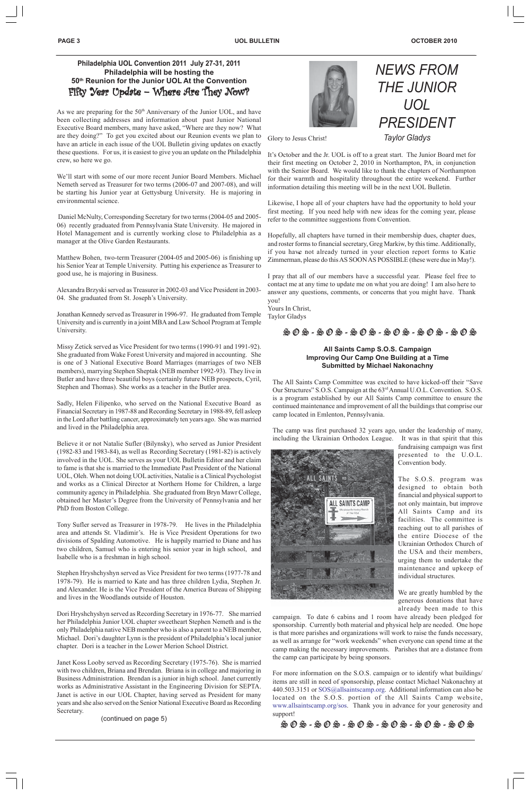*NEWS FROM*

### **Philadelphia UOL Convention 2011 July 27-31, 2011 Philadelphia will be hosting the 50th Reunion for the Junior UOL At the Convention** Fifty Year Update – Where Are They Now?

*THE JUNIOR*

*UOL*

*PRESIDENT*

*Taylor Gladys*

As we are preparing for the  $50<sup>th</sup>$  Anniversary of the Junior UOL, and have been collecting addresses and information about past Junior National Executive Board members, many have asked, "Where are they now? What are they doing?" To get you excited about our Reunion events we plan to have an article in each issue of the UOL Bulletin giving updates on exactly these questions. For us, it is easiest to give you an update on the Philadelphia crew, so here we go.

We'll start with some of our more recent Junior Board Members. Michael Nemeth served as Treasurer for two terms (2006-07 and 2007-08), and will be starting his Junior year at Gettysburg University. He is majoring in environmental science.

 Daniel McNulty, Corresponding Secretary for two terms (2004-05 and 2005- 06) recently graduated from Pennsylvania State University. He majored in Hotel Management and is currently working close to Philadelphia as a manager at the Olive Garden Restaurants.

Matthew Bohen, two-term Treasurer (2004-05 and 2005-06) is finishing up his Senior Year at Temple University. Putting his experience as Treasurer to good use, he is majoring in Business.

Alexandra Brzyski served as Treasurer in 2002-03 and Vice President in 2003- 04. She graduated from St. Joseph's University.

Jonathan Kennedy served as Treasurer in 1996-97. He graduated from Temple University and is currently in a joint MBA and Law School Program at Temple University.

Missy Zetick served as Vice President for two terms (1990-91 and 1991-92). She graduated from Wake Forest University and majored in accounting. She is one of 3 National Executive Board Marriages (marriages of two NEB members), marrying Stephen Sheptak (NEB member 1992-93). They live in Butler and have three beautiful boys (certainly future NEB prospects, Cyril, Stephen and Thomas). She works as a teacher in the Butler area.

Sadly, Helen Filipenko, who served on the National Executive Board as Financial Secretary in 1987-88 and Recording Secretary in 1988-89, fell asleep in the Lord after battling cancer, approximately ten years ago. She was married and lived in the Philadelphia area.

Believe it or not Natalie Sufler (Bilynsky), who served as Junior President (1982-83 and 1983-84), as well as Recording Secretary (1981-82) is actively involved in the UOL. She serves as your UOL Bulletin Editor and her claim to fame is that she is married to the Immediate Past President of the National UOL, Oleh. When not doing UOL activities, Natalie is a Clinical Psychologist and works as a Clinical Director at Northern Home for Children, a large community agency in Philadelphia. She graduated from Bryn Mawr College, obtained her Master's Degree from the University of Pennsylvania and her PhD from Boston College.

Tony Sufler served as Treasurer in 1978-79. He lives in the Philadelphia area and attends St. Vladimir's. He is Vice President Operations for two divisions of Spalding Automotive. He is happily married to Diane and has two children, Samuel who is entering his senior year in high school, and Isabelle who is a freshman in high school.



Stephen Hryshchyshyn served as Vice President for two terms (1977-78 and 1978-79). He is married to Kate and has three children Lydia, Stephen Jr. and Alexander. He is the Vice President of the America Bureau of Shipping and lives in the Woodlands outside of Houston.

Dori Hryshchyshyn served as Recording Secretary in 1976-77. She married her Philadelphia Junior UOL chapter sweetheart Stephen Nemeth and is the only Philadelphia native NEB member who is also a parent to a NEB member, Michael. Dori's daughter Lynn is the president of Philadelphia's local junior chapter. Dori is a teacher in the Lower Merion School District.

Janet Koss Looby served as Recording Secretary (1975-76). She is married with two children, Briana and Brendan. Briana is in college and majoring in Business Administration. Brendan is a junior in high school. Janet currently works as Administrative Assistant in the Engineering Division for SEPTA. Janet is active in our UOL Chapter, having served as President for many years and she also served on the Senior National Executive Board as Recording Secretary.

(continued on page 5)

#### **All Saints Camp S.O.S. Campaign Improving Our Camp One Building at a Time Submitted by Michael Nakonachny**

The All Saints Camp Committee was excited to have kicked-off their "Save Our Structures" S.O.S. Campaign at the 63rd Annual U.O.L. Convention. S.O.S. is a program established by our All Saints Camp committee to ensure the continued maintenance and improvement of all the buildings that comprise our camp located in Emlenton, Pennsylvania.

The camp was first purchased 32 years ago, under the leadership of many, including the Ukrainian Orthodox League. It was in that spirit that this



fundraising campaign was first presented to the U.O.L. Convention body.

The S.O.S. program was designed to obtain both financial and physical support to not only maintain, but improve All Saints Camp and its facilities. The committee is reaching out to all parishes of the entire Diocese of the Ukrainian Orthodox Church of

the USA and their members, urging them to undertake the maintenance and upkeep of individual structures.

We are greatly humbled by the generous donations that have already been made to this

campaign. To date 6 cabins and 1 room have already been pledged for sponsorship. Currently both material and physical help are needed. One hope is that more parishes and organizations will work to raise the funds necessary, as well as arrange for "work weekends" when everyone can spend time at the camp making the necessary improvements. Parishes that are a distance from the camp can participate by being sponsors.

For more information on the S.O.S. campaign or to identify what buildings/ items are still in need of sponsorship, please contact Michael Nakonachny at 440.503.3151 or SOS@allsaintscamp.org. Additional information can also be located on the S.O.S. portion of the All Saints Camp website, www.allsaintscamp.org/sos. Thank you in advance for your generosity and support!

S O S - S O S - S O S - S O S - S O S - S O S

Glory to Jesus Christ!

It's October and the Jr. UOL is off to a great start. The Junior Board met for their first meeting on October 2, 2010 in Northampton, PA, in conjunction with the Senior Board. We would like to thank the chapters of Northampton for their warmth and hospitality throughout the entire weekend. Further information detailing this meeting will be in the next UOL Bulletin.

Likewise, I hope all of your chapters have had the opportunity to hold your first meeting. If you need help with new ideas for the coming year, please refer to the committee suggestions from Convention.

Hopefully, all chapters have turned in their membership dues, chapter dues, and roster forms to financial secretary, Greg Markiw, by this time. Additionally, if you have not already turned in your election report forms to Katie Zimmerman, please do this AS SOON AS POSSIBLE (these were due in May!).

I pray that all of our members have a successful year. Please feel free to contact me at any time to update me on what you are doing! I am also here to answer any questions, comments, or concerns that you might have. Thank you!

Yours In Christ, Taylor Gladys

#### S O S - S O S - S O S - S O S - S O S - S O S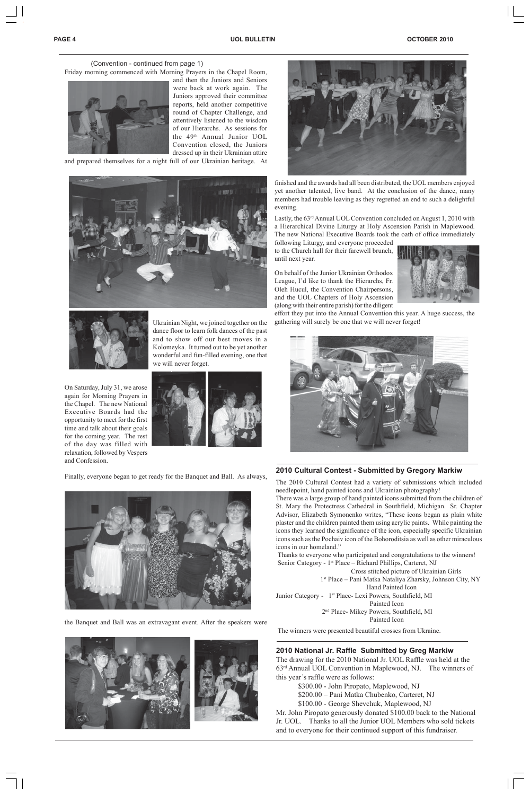(Convention - continued from page 1)

Friday morning commenced with Morning Prayers in the Chapel Room,



and then the Juniors and Seniors were back at work again. The Juniors approved their committee reports, held another competitive round of Chapter Challenge, and attentively listened to the wisdom of our Hierarchs. As sessions for the 49th Annual Junior UOL Convention closed, the Juniors dressed up in their Ukrainian attire

and prepared themselves for a night full of our Ukrainian heritage. At





Ukrainian Night, we joined together on the dance floor to learn folk dances of the past and to show off our best moves in a Kolomeyka. It turned out to be yet another wonderful and fun-filled evening, one that we will never forget.

On Saturday, July 31, we arose again for Morning Prayers in the Chapel. The new National Executive Boards had the opportunity to meet for the first time and talk about their goals for the coming year. The rest of the day was filled with relaxation, followed by Vespers and Confession.



Finally, everyone began to get ready for the Banquet and Ball. As always,





the Banquet and Ball was an extravagant event. After the speakers were



#### **2010 Cultural Contest - Submitted by Gregory Markiw**

The 2010 Cultural Contest had a variety of submissions which included needlepoint, hand painted icons and Ukrainian photography!

Lastly, the 63<sup>rd</sup> Annual UOL Convention concluded on August 1, 2010 with a Hierarchical Divine Liturgy at Holy Ascension Parish in Maplewood. The new National Executive Boards took the oath of office immediately

There was a large group of hand painted icons submitted from the children of St. Mary the Protectress Cathedral in Southfield, Michigan. Sr. Chapter Advisor, Elizabeth Symonenko writes, "These icons began as plain white plaster and the children painted them using acrylic paints. While painting the icons they learned the significance of the icon, especially specific Ukrainian icons such as the Pochaiv icon of the Bohoroditsia as well as other miraculous icons in our homeland."

 Thanks to everyone who participated and congratulations to the winners! Senior Category - 1<sup>st</sup> Place – Richard Phillips, Carteret, NJ Cross stitched picture of Ukrainian Girls 1st Place – Pani Matka Nataliya Zharsky, Johnson City, NY Hand Painted Icon Junior Category - 1st Place- Lexi Powers, Southfield, MI Painted Icon 2nd Place- Mikey Powers, Southfield, MI Painted Icon

The winners were presented beautiful crosses from Ukraine.

finished and the awards had all been distributed, the UOL members enjoyed yet another talented, live band. At the conclusion of the dance, many members had trouble leaving as they regretted an end to such a delightful evening.

following Liturgy, and everyone proceeded to the Church hall for their farewell brunch, until next year.

On behalf of the Junior Ukrainian Orthodox League, I'd like to thank the Hierarchs, Fr. Oleh Hucul, the Convention Chairpersons, and the UOL Chapters of Holy Ascension (along with their entire parish) for the diligent



effort they put into the Annual Convention this year. A huge success, the gathering will surely be one that we will never forget!



#### **2010 National Jr. Raffle Submitted by Greg Markiw**

The drawing for the 2010 National Jr. UOL Raffle was held at the 63rd Annual UOL Convention in Maplewood, NJ. The winners of this year's raffle were as follows:

> \$300.00 - John Piropato, Maplewood, NJ \$200.00 – Pani Matka Chubenko, Carteret, NJ \$100.00 - George Shevchuk, Maplewood, NJ

Mr. John Piropato generously donated \$100.00 back to the National Jr. UOL. Thanks to all the Junior UOL Members who sold tickets and to everyone for their continued support of this fundraiser.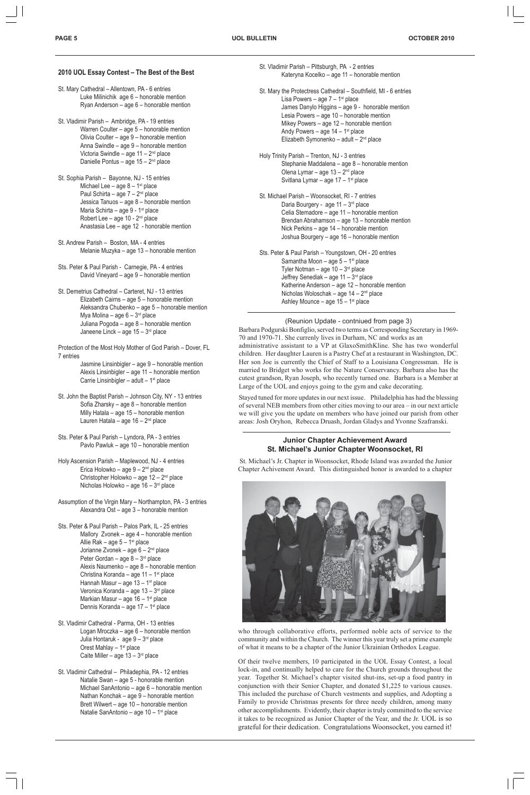#### **2010 UOL Essay Contest – The Best of the Best**

- St. Mary Cathedral Allentown, PA 6 entries Luke Milinichik age 6 – honorable mention Ryan Anderson – age 6 – honorable mention
- St. Vladimir Parish Ambridge, PA 19 entries Warren Coulter – age 5 – honorable mention Olivia Coulter – age 9 – honorable mention Anna Swindle – age 9 – honorable mention Victoria Swindle – age  $11 - 2<sup>nd</sup>$  place Danielle Pontus – age 15 – 2nd place
- St. Sophia Parish Bayonne, NJ 15 entries Michael Lee – age  $8 - 1$ <sup>st</sup> place Paul Schirta – age 7 – 2<sup>nd</sup> place Jessica Tanuos – age 8 – honorable mention Maria Schirta – age  $9$  - 1<sup>st</sup> place Robert Lee – age  $10 - 2<sup>nd</sup>$  place Anastasia Lee – age 12 - honorable mention
- St. Andrew Parish Boston, MA 4 entries Melanie Muzyka – age 13 – honorable mention
- Sts. Peter & Paul Parish Carnegie, PA 4 entries David Vineyard – age 9 – honorable mention
- St. Demetrius Cathedral Carteret, NJ 13 entries Elizabeth Cairns – age 5 – honorable mention Aleksandra Chubenko – age 5 – honorable mention Mya Molina – age  $6 - 3<sup>rd</sup>$  place Juliana Pogoda – age 8 – honorable mention Janeene Linck – age 15 – 3<sup>rd</sup> place
- Protection of the Most Holy Mother of God Parish Dover, FL 7 entries
	- Jasmine Linsinbigler age 9 honorable mention Alexis Linsinbigler – age 11 – honorable mention Carrie Linsinbigler – adult –  $1<sup>st</sup>$  place
- St. John the Baptist Parish Johnson City, NY 13 entries Sofia Zharsky – age 8 – honorable mention Milly Hatala – age 15 – honorable mention Lauren Hatala – age  $16 - 2^{nd}$  place
- Sts. Peter & Paul Parish Lyndora, PA 3 entries Pavlo Pawluk – age 10 – honorable mention
- Holy Ascension Parish Maplewood, NJ 4 entries Erica Holowko – age  $9 - 2<sup>nd</sup>$  place Christopher Holowko – age  $12 - 2<sup>nd</sup>$  place Nicholas Holowko – age 16 – 3rd place
- Assumption of the Virgin Mary Northampton, PA 3 entries Alexandra Ost – age 3 – honorable mention
- Sts. Peter & Paul Parish Palos Park, IL 25 entries Mallory Zvonek – age 4 – honorable mention Allie Rak – age  $5 - 1$ <sup>st</sup> place Jorianne Zvonek – age 6 – 2<sup>nd</sup> place Peter Gordan – age  $8 - 3<sup>rd</sup>$  place Alexis Naumenko – age 8 – honorable mention Christina Koranda – age 11 – 1st place Hannah Masur – age  $13 - 1$ <sup>st</sup> place Veronica Koranda – age 13 – 3rd place Markian Masur – age  $16 - 1$ <sup>st</sup> place Dennis Koranda – age 17 – 1st place
- St. Vladimir Parish Pittsburgh, PA 2 entries Kateryna Kocelko – age 11 – honorable mention
- St. Mary the Protectress Cathedral Southfield, MI 6 entries Lisa Powers – age  $7 - 1$ <sup>st</sup> place James Danylo Higgins – age 9 - honorable mention Lesia Powers – age 10 – honorable mention Mikey Powers – age 12 – honorable mention Andy Powers – age  $14 - 1$ <sup>st</sup> place Elizabeth Symonenko – adult –  $2^{nd}$  place
- Holy Trinity Parish Trenton, NJ 3 entries Stephanie Maddalena – age 8 – honorable mention Olena Lymar – age 13 – 2nd place Svitlana Lymar – age  $17 - 1$ <sup>st</sup> place
- St. Michael Parish Woonsocket, RI 7 entries Daria Bourgery - age  $11 - 3<sup>rd</sup>$  place Celia Stemadore – age 11 – honorable mention Brendan Abrahamson – age 13 – honorable mention Nick Perkins – age 14 – honorable mention Joshua Bourgery – age 16 – honorable mention
- Sts. Peter & Paul Parish Youngstown, OH 20 entries Samantha Moon – age  $5 - 1$ <sup>st</sup> place Tyler Notman – age  $10 - 3<sup>rd</sup>$  place Jeffrey Senediak – age  $11 - 3^{rd}$  place Katherine Anderson – age 12 – honorable mention Nicholas Woloschak – age 14 – 2<sup>nd</sup> place Ashley Mounce – age  $15 - 1$ <sup>st</sup> place

- St. Vladimir Cathedral Parma, OH 13 entries Logan Mroczka – age 6 – honorable mention Julia Hontaruk - age  $9 - 3<sup>rd</sup>$  place Orest Mahlay  $-1$ <sup>st</sup> place Caite Miller – age  $13 - 3$ <sup>rd</sup> place
- St. Vladimir Cathedral Philadephia, PA 12 entries Natalie Swan – age 5 - honorable mention Michael SanAntonio – age 6 – honorable mention Nathan Konchak – age 9 – honorable mention Brett Wilwert – age 10 – honorable mention Natalie SanAntonio – age 10 – 1st place

(Reunion Update - contniued from page 3) Barbara Podgurski Bonfiglio, served two terms as Corresponding Secretary in 1969- 70 and 1970-71. She currenly lives in Durham, NC and works as an administrative assistant to a VP at GlaxoSmithKline. She has two wonderful children. Her daughter Lauren is a Pastry Chef at a restaurant in Washington, DC. Her son Joe is currently the Chief of Staff to a Louisiana Congressman. He is married to Bridget who works for the Nature Conservancy. Barbara also has the cutest grandson, Ryan Joseph, who recently turned one. Barbara is a Member at Large of the UOL and enjoys going to the gym and cake decorating.

Stayed tuned for more updates in our next issue. Philadelphia has had the blessing of several NEB members from other cities moving to our area – in our next article we will give you the update on members who have joined our parish from other areas: Josh Oryhon, Rebecca Druash, Jordan Gladys and Yvonne Szafranski.

#### **Junior Chapter Achievement Award St. Michael's Junior Chapter Woonsocket, RI**

 St. Michael's Jr. Chapter in Woonsocket, Rhode Island was awarded the Junior Chapter Achivement Award. This distinguished honor is awarded to a chapter



who through collaborative efforts, performed noble acts of service to the community and within the Church. The winner this year truly set a prime example of what it means to be a chapter of the Junior Ukrainian Orthodox League.

Of their twelve members, 10 participated in the UOL Essay Contest, a local lock-in, and continually helped to care for the Church grounds throughout the year. Together St. Michael's chapter visited shut-ins, set-up a food pantry in conjunction with their Senior Chapter, and donated \$1,225 to various causes. This included the purchase of Church vestments and supplies, and Adopting a Family to provide Christmas presents for three needy children, among many other accomplishments. Evidently, their chapter is truly committed to the service it takes to be recognized as Junior Chapter of the Year, and the Jr. UOL is so grateful for their dedication. Congratulations Woonsocket, you earned it!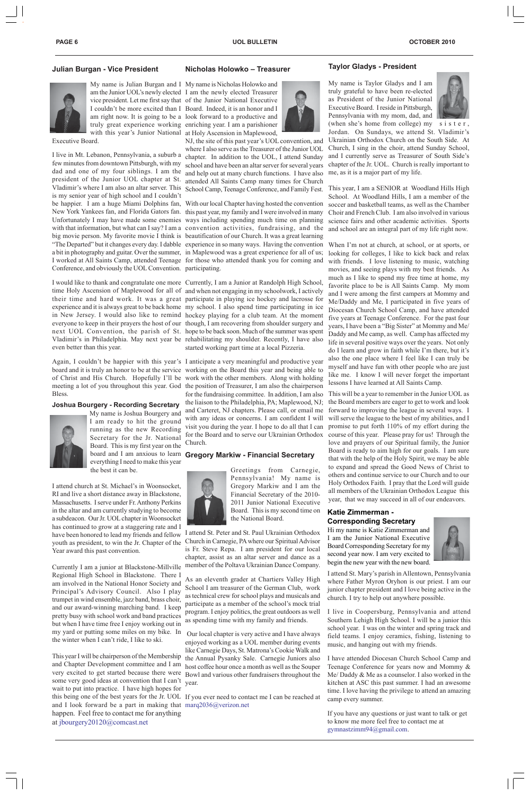Greetings from Carnegie, Pennsylvania! My name is Gregory Markiw and I am the Financial Secretary of the 2010- 2011 Junior National Executive Board. This is my second time on the National Board.

youth as president, to win the Jr. Chapter of the Church in Carnegie, PA where our Spiritual Advisor is Fr. Steve Repa. I am president for our local chapter, assist as an altar server and dance as a member of the Poltava Ukrainian Dance Company.

> As an eleventh grader at Chartiers Valley High School I am treasurer of the German Club, work as technical crew for school plays and musicals and participate as a member of the school's mock trial program. I enjoy politics, the great outdoors as well as spending time with my family and friends.

> Our local chapter is very active and I have always enjoyed working as a UOL member during events like Carnegie Days, St. Matrona's Cookie Walk and the Annual Pysanky Sale. Carnegie Juniors also host coffee hour once a month as well as the Souper Bowl and various other fundraisers throughout the

this being one of the best years for the Jr. UOL If you ever need to contact me I can be reached at

#### **Taylor Gladys - President**

My name is Taylor Gladys and I am truly grateful to have been re-elected as President of the Junior National Executive Board. I reside in Pittsburgh, Pennsylvania with my mom, dad, and



(when she's home from college) my sister, Jordan. On Sundays, we attend St. Vladimir's Ukrainian Orthodox Church on the South Side. At Church, I sing in the choir, attend Sunday School, and I currently serve as Treasurer of South Side's chapter of the Jr. UOL. Church is really important to me, as it is a major part of my life.

School. At Woodland Hills, I am a member of the soccer and basketball teams, as well as the Chamber Choir and French Club. I am also involved in various science fairs and other academic activities. Sports and school are an integral part of my life right now.

School Camp, Teenage Conference, and Family Fest. This year, I am a SENIOR at Woodland Hills High NJ, the site of this past year's UOL convention, and where I also serve as the Treasurer of the Junior UOL chapter. In addition to the UOL, I attend Sunday school and have been an altar server for several years and help out at many church functions. I have also attended All Saints Camp many times for Church

"The Departed" but it changes every day. I dabble experience in so many ways. Having the convention When I'm not at church, at school, or at sports, or be happier. I am a huge Miami Dolphins fan, With our local Chapter having hosted the convention New York Yankees fan, and Florida Gators fan. this past year, my family and I were involved in many Unfortunately I may have made some enemies ways including spending much time on planning with that information, but what can I say? I am a convention activities, fundraising, and the big movie person. My favorite movie I think is beautification of our Church. It was a great learning a bit in photography and guitar. Over the summer, in Maplewood was a great experience for all of us; I worked at All Saints Camp, attended Teenage for those who attended thank you for coming and

looking for colleges, I like to kick back and relax with friends. I love listening to music, watching movies, and seeing plays with my best friends. As much as I like to spend my free time at home, my favorite place to be is All Saints Camp. My mom and I were among the first campers at Mommy and Me/Daddy and Me, I participated in five years of Diocesan Church School Camp, and have attended five years at Teenage Conference. For the past four years, I have been a "Big Sister" at Mommy and Me/ Daddy and Me camp, as well. Camp has affected my life in several positive ways over the years. Not only do I learn and grow in faith while I'm there, but it's also the one place where I feel like I can truly be myself and have fun with other people who are just like me. I know I will never forget the important lessons I have learned at All Saints Camp.

I would like to thank and congratulate one more Currently, I am a Junior at Randolph High School, time Holy Ascension of Maplewood for all of and when not engaging in my schoolwork, I actively their time and hard work. It was a great participate in playing ice hockey and lacrosse for experience and it is always great to be back home my school. I also spend time participating in ice in New Jersey. I would also like to remind hockey playing for a club team. At the moment everyone to keep in their prayers the host of our though, I am recovering from shoulder surgery and next UOL Convention, the parish of St. hope to be back soon. Much of the summer was spent Vladimir's in Philadelphia. May next year be rehabilitating my shoulder. Recently, I have also started working part time at a local Pizzeria.

Again, I couldn't be happier with this year's I anticipate a very meaningful and productive year board and it is truly an honor to be at the service working on the Board this year and being able to of Christ and His Church. Hopefully I'll be work with the other members. Along with holding meeting a lot of you throughout this year. God the position of Treasurer, I am also the chairperson for the fundraising committee. In addition, I am also the liaison to the Philadelphia, PA; Maplewood, NJ; and Carteret, NJ chapters. Please call, or email me with any ideas or concerns. I am confident I will visit you during the year. I hope to do all that I can for the Board and to serve our Ukrainian Orthodox Church.

#### board and I am anxious to learn Gregory Markiw - Financial Secretary



Conference, and obviously the UOL Convention. participating. I live in Mt. Lebanon, Pennsylvania, a suburb a few minutes from downtown Pittsburgh, with my dad and one of my four siblings. I am the president of the Junior UOL chapter at St. Vladimir's where I am also an altar server. This is my senior year of high school and I couldn't

> This will be a year to remember in the Junior UOL as the Board members are eager to get to work and look forward to improving the league in several ways. I will serve the league to the best of my abilities, and I promise to put forth 110% of my effort during the course of this year. Please pray for us! Through the love and prayers of our Spiritual family, the Junior Board is ready to aim high for our goals. I am sure that with the help of the Holy Spirit, we may be able to expand and spread the Good News of Christ to others and continue service to our Church and to our Holy Orthodox Faith. I pray that the Lord will guide all members of the Ukrainian Orthodox League this year, that we may succeed in all of our endeavors.

#### **Nicholas Holowko – Treasurer**

have been honored to lead my friends and fellow I attend St. Peter and St. Paul Ukrainian Orthodox I attend church at St. Michael's in Woonsocket, RI and live a short distance away in Blackstone, Massachusetts. I serve under Fr. Anthony Perkins in the altar and am currently studying to become a subdeacon. Our Jr. UOL chapter in Woonsocket has continued to grow at a staggering rate and I Year award this past convention.

some very good ideas at convention that I can't year. and I look forward be a part in making that  $marq2036@/verizon.net$ This year I will be chairperson of the Membership and Chapter Development committee and I am very excited to get started because there were wait to put into practice. I have high hopes for happen. Feel free to contact me for anything at jbourgery20120@comcast.net

#### **Julian Burgan - Vice President**



My name is Julian Burgan and I My name is Nicholas Holowko and am the Junior UOL's newly elected I am the newly elected Treasurer vice president. Let me first say that of the Junior National Executive I couldn't be more excited than I Board. Indeed, it is an honor and I am right now. It is going to be a look forward to a productive and truly great experience working enriching year. I am a parishioner with this year's Junior National at Holy Ascension in Maplewood,

Executive Board.

even better than this year.

Bless.

#### **Joshua Bourgery - Recording Secretary**



My name is Joshua Bourgery and I am ready to hit the ground running as the new Recording Secretary for the Jr. National Board. This is my first year on the everything I need to make this year the best it can be.

Currently I am a junior at Blackstone-Millville Regional High School in Blackstone. There I am involved in the National Honor Society and Principal's Advisory Council. Also I play trumpet in wind ensemble, jazz band, brass choir, and our award-winning marching band. I keep pretty busy with school work and band practices but when I have time free I enjoy working out in my yard or putting some miles on my bike. In the winter when I can't ride, I like to ski.

#### **Katie Zimmerman - Corresponding Secretary**

Hi my name is Katie Zimmerman and I am the Junior National Executive Board Corresponding Secretary for my



second year now. I am very excited to begin the new year with the new board.

I attend St. Mary's parish in Allentown, Pennsylvania where Father Myron Oryhon is our priest. I am our junior chapter president and I love being active in the church. I try to help out anywhere possible.

I live in Coopersburg, Pennsylvania and attend Southern Lehigh High School. I will be a junior this school year. I was on the winter and spring track and field teams. I enjoy ceramics, fishing, listening to music, and hanging out with my friends.

I have attended Diocesan Church School Camp and Teenage Conference for years now and Mommy & Me/ Daddy & Me as a counselor. I also worked in the kitchen at ASC this past summer. I had an awesome time. I love having the privilege to attend an amazing camp every summer.

If you have any questions or just want to talk or get to know me more feel free to contact me at gymnastzimm94@gmail.com.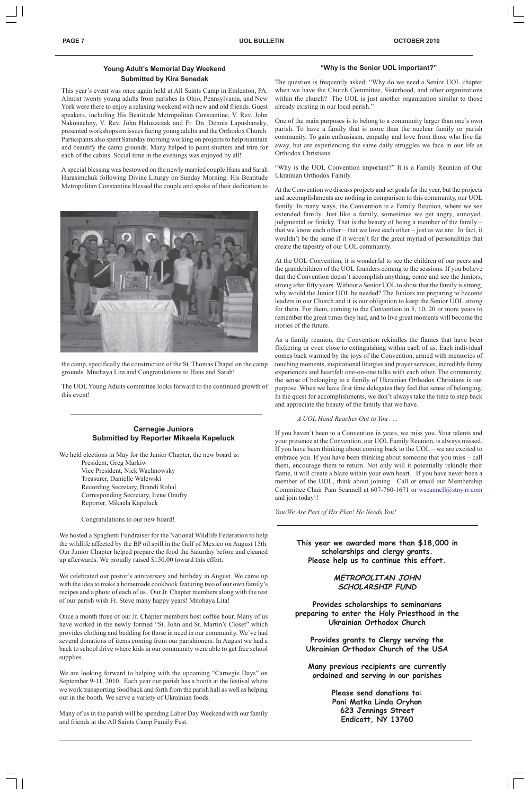#### **Young Adult's Memorial Day Weekend Submitted by Kira Senedak**

This year's event was once again held at All Saints Camp in Emlenton, PA. Almost twenty young adults from parishes in Ohio, Pennsylvania, and New York were there to enjoy a relaxing weekend with new and old friends. Guest speakers, including His Beatitude Metropolitan Constantine, V. Rev. John Nakonachny, V. Rev. John Haluszczak and Fr. Dn. Dennis Lapushansky, presented workshops on issues facing young adults and the Orthodox Church. Participants also spent Saturday morning working on projects to help maintain and beautify the camp grounds. Many helped to paint shutters and trim for each of the cabins. Social time in the evenings was enjoyed by all!

A special blessing was bestowed on the newly married couple Hans and Sarah Harasimchuk following Divine Liturgy on Sunday Morning. His Beatitude Metropolitan Constantine blessed the couple and spoke of their dedication to



the camp, specifically the construction of the St. Thomas Chapel on the camp grounds. Mnohaya Lita and Congratulations to Hans and Sarah!

The UOL Young Adults committee looks forward to the continued growth of this event!

#### **Carnegie Juniors Submitted by Reporter Mikaela Kapeluck**

We held elections in May for the Junior Chapter, the new board is:

President, Greg Markiw Vice President, Nick Wachnowsky Treasurer, Danielle Walewski Recording Secretary, Brandi Rohal Corresponding Secretary, Irene Onufry Reporter, Mikaela Kapeluck

Congratulations to our new board!

We hosted a Spaghetti Fundraiser for the National Wildlife Federation to help the wildlife affected by the BP oil spill in the Gulf of Mexico on August 15th. Our Junior Chapter helped prepare the food the Saturday before and cleaned up afterwards. We proudly raised \$150.00 toward this effort.

We celebrated our pastor's anniversary and birthday in August. We came up with the idea to make a homemade cookbook featuring two of our own family's recipes and a photo of each of us. Our Jr. Chapter members along with the rest of our parish wish Fr. Steve many happy years! Mnohaya Lita!

Once a month three of our Jr. Chapter members host coffee hour. Many of us have worked in the newly formed "St. John and St. Martin's Closet" which provides clothing and bedding for those in need in our community. We've had several donations of items coming from our parishioners. In August we had a back to school drive where kids in our community were able to get free school supplies.

We are looking forward to helping with the upcoming "Carnegie Days" on September 9-11, 2010. Each year our parish has a booth at the festival where we work transporting food back and forth from the parish hall as well as helping out in the booth. We serve a variety of Ukrainian foods.

Many of us in the parish will be spending Labor Day Weekend with our family and friends at the All Saints Camp Family Fest.

#### **"Why is the Senior UOL important?"**

The question is frequently asked: "Why do we need a Senior UOL chapter when we have the Church Committee, Sisterhood, and other organizations within the church? The UOL is just another organization similar to those already existing in our local parish."

One of the main purposes is to belong to a community larger than one's own parish. To have a family that is more than the nuclear family or parish community. To gain enthusiasm, empathy and love from those who live far away, but are experiencing the same daily struggles we face in our life as Orthodox Christians.

"Why is the UOL Convention important?" It is a Family Reunion of Our Ukrainian Orthodox Family.

At the Convention we discuss projects and set goals for the year, but the projects and accomplishments are nothing in comparison to this community, our UOL family. In many ways, the Convention is a Family Reunion, where we see extended family. Just like a family, sometimes we get angry, annoyed, judgmental or finicky. That is the beauty of being a member of the family – that we know each other – that we love each other – just as we are. In fact, it wouldn't be the same if it weren't for the great myriad of personalities that create the tapestry of our UOL community.

At the UOL Convention, it is wonderful to see the children of our peers and the grandchildren of the UOL founders coming to the sessions. If you believe that the Convention doesn't accomplish anything, come and see the Juniors, strong after fifty years. Without a Senior UOL to show that the family is strong, why would the Junior UOL be needed? The Juniors are preparing to become leaders in our Church and it is our obligation to keep the Senior UOL strong for them. For them, coming to the Convention in 5, 10, 20 or more years to remember the great times they had, and to live great moments will become the stories of the future.

As a family reunion, the Convention rekindles the flames that have been flickering or even close to extinguishing within each of us. Each individual comes back warmed by the joys of the Convention, armed with memories of touching moments, inspirational liturgies and prayer services, incredibly funny experiences and heartfelt one-on-one talks with each other. The community, the sense of belonging to a family of Ukrainian Orthodox Christians is our purpose. When we have first time delegates they feel that sense of belonging. In the quest for accomplishments, we don't always take the time to step back and appreciate the beauty of the family that we have.

#### *A UOL Hand Reaches Out to You . . .*

If you haven't been to a Convention in years, we miss you. Your talents and your presence at the Convention, our UOL Family Reunion, is always missed. If you have been thinking about coming back to the UOL – we are excited to embrace you. If you have been thinking about someone that you miss – call them, encourage them to return. Not only will it potentially rekindle their flame, it will create a blaze within your own heart. If you have never been a member of the UOL, think about joining. Call or email our Membership Committee Chair Pam Scannell at 607-760-1671 or wscannell@stny.rr.com and join today!!

*You/We Are Part of His Plan! He Needs You!*

### **This year we awarded more than \$18,000 in**

**scholarships and clergy grants. Please help us to continue this effort.**

#### **METROPOLITAN JOHN SCHOLARSHIP FUND**

**Provides scholarships to seminarians preparing to enter the Holy Priesthood in the Ukrainian Orthodox Church**

**Provides grants to Clergy serving the Ukrainian Orthodox Church of the USA**

**Many previous recipients are currently ordained and serving in our parishes**

> **Please send donations to: Pani Matka Linda Oryhon 623 Jennings Street Endicott, NY 13760**